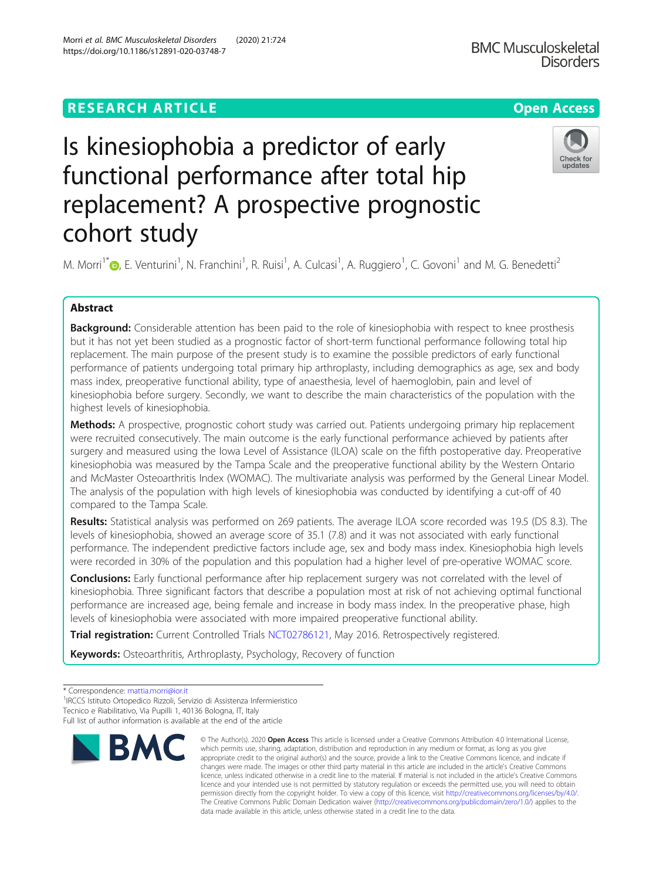# **RESEARCH ARTICLE Example 2014 12:30 The Contract of Contract ACCESS**

# Is kinesiophobia a predictor of early functional performance after total hip replacement? A prospective prognostic cohort study

M. Morri<sup>1[\\*](http://orcid.org/0000-0002-4429-9927)</sup>®, E. Venturini<sup>1</sup>, N. Franchini<sup>1</sup>, R. Ruisi<sup>1</sup>, A. Culcasi<sup>1</sup>, A. Ruggiero<sup>1</sup>, C. Govoni<sup>1</sup> and M. G. Benedetti<sup>2</sup>

## Abstract

**Background:** Considerable attention has been paid to the role of kinesiophobia with respect to knee prosthesis but it has not yet been studied as a prognostic factor of short-term functional performance following total hip replacement. The main purpose of the present study is to examine the possible predictors of early functional performance of patients undergoing total primary hip arthroplasty, including demographics as age, sex and body mass index, preoperative functional ability, type of anaesthesia, level of haemoglobin, pain and level of kinesiophobia before surgery. Secondly, we want to describe the main characteristics of the population with the highest levels of kinesiophobia.

**Methods:** A prospective, prognostic cohort study was carried out. Patients undergoing primary hip replacement were recruited consecutively. The main outcome is the early functional performance achieved by patients after surgery and measured using the Iowa Level of Assistance (ILOA) scale on the fifth postoperative day. Preoperative kinesiophobia was measured by the Tampa Scale and the preoperative functional ability by the Western Ontario and McMaster Osteoarthritis Index (WOMAC). The multivariate analysis was performed by the General Linear Model. The analysis of the population with high levels of kinesiophobia was conducted by identifying a cut-off of 40 compared to the Tampa Scale.

Results: Statistical analysis was performed on 269 patients. The average ILOA score recorded was 19.5 (DS 8.3). The levels of kinesiophobia, showed an average score of 35.1 (7.8) and it was not associated with early functional performance. The independent predictive factors include age, sex and body mass index. Kinesiophobia high levels were recorded in 30% of the population and this population had a higher level of pre-operative WOMAC score.

**Conclusions:** Early functional performance after hip replacement surgery was not correlated with the level of kinesiophobia. Three significant factors that describe a population most at risk of not achieving optimal functional performance are increased age, being female and increase in body mass index. In the preoperative phase, high levels of kinesiophobia were associated with more impaired preoperative functional ability.

Trial registration: Current Controlled Trials [NCT02786121,](https://clinicaltrials.gov/ct2/show/NCT02786121) May 2016. Retrospectively registered.

Keywords: Osteoarthritis, Arthroplasty, Psychology, Recovery of function

**BMC** 

<sup>1</sup>IRCCS Istituto Ortopedico Rizzoli, Servizio di Assistenza Infermieristico Tecnico e Riabilitativo, Via Pupilli 1, 40136 Bologna, IT, Italy

© The Author(s), 2020 **Open Access** This article is licensed under a Creative Commons Attribution 4.0 International License, which permits use, sharing, adaptation, distribution and reproduction in any medium or format, as long as you give appropriate credit to the original author(s) and the source, provide a link to the Creative Commons licence, and indicate if



<sup>\*</sup> Correspondence: [mattia.morri@ior.it](mailto:mattia.morri@ior.it) <sup>1</sup>

Full list of author information is available at the end of the article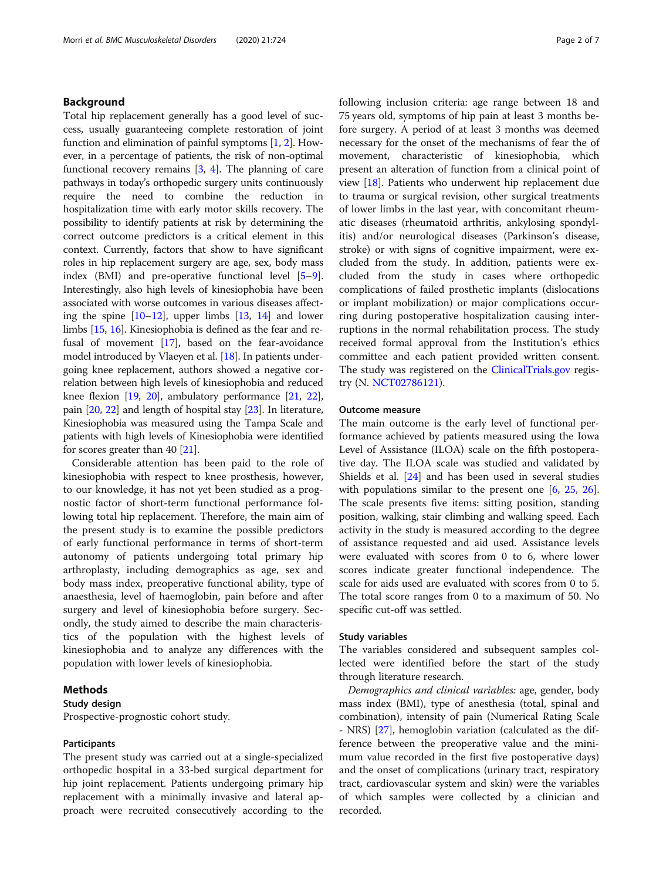## Background

Total hip replacement generally has a good level of success, usually guaranteeing complete restoration of joint function and elimination of painful symptoms [[1](#page-5-0), [2\]](#page-5-0). However, in a percentage of patients, the risk of non-optimal functional recovery remains [\[3,](#page-5-0) [4\]](#page-5-0). The planning of care pathways in today's orthopedic surgery units continuously require the need to combine the reduction in hospitalization time with early motor skills recovery. The possibility to identify patients at risk by determining the correct outcome predictors is a critical element in this context. Currently, factors that show to have significant roles in hip replacement surgery are age, sex, body mass index (BMI) and pre-operative functional level [[5](#page-5-0)–[9](#page-5-0)]. Interestingly, also high levels of kinesiophobia have been associated with worse outcomes in various diseases affecting the spine  $[10-12]$  $[10-12]$  $[10-12]$  $[10-12]$ , upper limbs  $[13, 14]$  $[13, 14]$  $[13, 14]$  $[13, 14]$  and lower limbs [\[15,](#page-6-0) [16\]](#page-6-0). Kinesiophobia is defined as the fear and refusal of movement [\[17\]](#page-6-0), based on the fear-avoidance model introduced by Vlaeyen et al. [\[18\]](#page-6-0). In patients undergoing knee replacement, authors showed a negative correlation between high levels of kinesiophobia and reduced knee flexion [\[19,](#page-6-0) [20\]](#page-6-0), ambulatory performance [\[21,](#page-6-0) [22](#page-6-0)], pain  $[20, 22]$  $[20, 22]$  $[20, 22]$  $[20, 22]$  and length of hospital stay  $[23]$  $[23]$  $[23]$ . In literature, Kinesiophobia was measured using the Tampa Scale and patients with high levels of Kinesiophobia were identified for scores greater than 40 [\[21](#page-6-0)].

Considerable attention has been paid to the role of kinesiophobia with respect to knee prosthesis, however, to our knowledge, it has not yet been studied as a prognostic factor of short-term functional performance following total hip replacement. Therefore, the main aim of the present study is to examine the possible predictors of early functional performance in terms of short-term autonomy of patients undergoing total primary hip arthroplasty, including demographics as age, sex and body mass index, preoperative functional ability, type of anaesthesia, level of haemoglobin, pain before and after surgery and level of kinesiophobia before surgery. Secondly, the study aimed to describe the main characteristics of the population with the highest levels of kinesiophobia and to analyze any differences with the population with lower levels of kinesiophobia.

## Methods

## Study design

Prospective-prognostic cohort study.

## Participants

The present study was carried out at a single-specialized orthopedic hospital in a 33-bed surgical department for hip joint replacement. Patients undergoing primary hip replacement with a minimally invasive and lateral approach were recruited consecutively according to the following inclusion criteria: age range between 18 and 75 years old, symptoms of hip pain at least 3 months before surgery. A period of at least 3 months was deemed necessary for the onset of the mechanisms of fear the of movement, characteristic of kinesiophobia, which present an alteration of function from a clinical point of view [[18\]](#page-6-0). Patients who underwent hip replacement due to trauma or surgical revision, other surgical treatments of lower limbs in the last year, with concomitant rheumatic diseases (rheumatoid arthritis, ankylosing spondylitis) and/or neurological diseases (Parkinson's disease, stroke) or with signs of cognitive impairment, were excluded from the study. In addition, patients were excluded from the study in cases where orthopedic complications of failed prosthetic implants (dislocations or implant mobilization) or major complications occurring during postoperative hospitalization causing interruptions in the normal rehabilitation process. The study received formal approval from the Institution's ethics committee and each patient provided written consent. The study was registered on the [ClinicalTrials.gov](http://clinicaltrials.gov) registry (N. [NCT02786121\)](https://clinicaltrials.gov/ct2/show/NCT02786121).

#### Outcome measure

The main outcome is the early level of functional performance achieved by patients measured using the Iowa Level of Assistance (ILOA) scale on the fifth postoperative day. The ILOA scale was studied and validated by Shields et al. [[24\]](#page-6-0) and has been used in several studies with populations similar to the present one [\[6](#page-5-0), [25](#page-6-0), [26](#page-6-0)]. The scale presents five items: sitting position, standing position, walking, stair climbing and walking speed. Each activity in the study is measured according to the degree of assistance requested and aid used. Assistance levels were evaluated with scores from 0 to 6, where lower scores indicate greater functional independence. The scale for aids used are evaluated with scores from 0 to 5. The total score ranges from 0 to a maximum of 50. No specific cut-off was settled.

## Study variables

The variables considered and subsequent samples collected were identified before the start of the study through literature research.

Demographics and clinical variables: age, gender, body mass index (BMI), type of anesthesia (total, spinal and combination), intensity of pain (Numerical Rating Scale - NRS) [[27\]](#page-6-0), hemoglobin variation (calculated as the difference between the preoperative value and the minimum value recorded in the first five postoperative days) and the onset of complications (urinary tract, respiratory tract, cardiovascular system and skin) were the variables of which samples were collected by a clinician and recorded.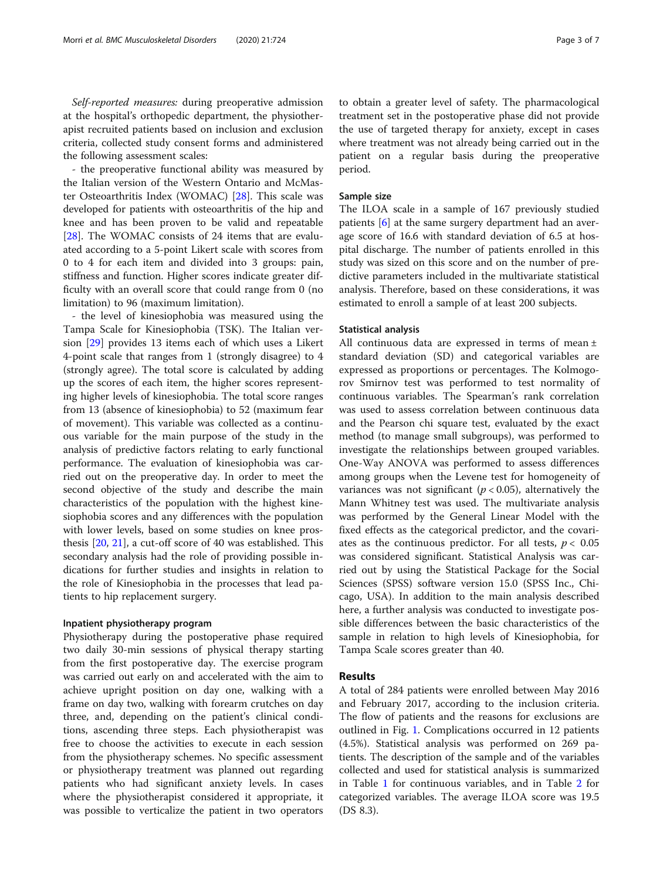Self-reported measures: during preoperative admission at the hospital's orthopedic department, the physiotherapist recruited patients based on inclusion and exclusion criteria, collected study consent forms and administered the following assessment scales:

- the preoperative functional ability was measured by the Italian version of the Western Ontario and McMaster Osteoarthritis Index (WOMAC) [[28\]](#page-6-0). This scale was developed for patients with osteoarthritis of the hip and knee and has been proven to be valid and repeatable [[28\]](#page-6-0). The WOMAC consists of 24 items that are evaluated according to a 5-point Likert scale with scores from 0 to 4 for each item and divided into 3 groups: pain, stiffness and function. Higher scores indicate greater difficulty with an overall score that could range from 0 (no limitation) to 96 (maximum limitation).

- the level of kinesiophobia was measured using the Tampa Scale for Kinesiophobia (TSK). The Italian version [[29](#page-6-0)] provides 13 items each of which uses a Likert 4-point scale that ranges from 1 (strongly disagree) to 4 (strongly agree). The total score is calculated by adding up the scores of each item, the higher scores representing higher levels of kinesiophobia. The total score ranges from 13 (absence of kinesiophobia) to 52 (maximum fear of movement). This variable was collected as a continuous variable for the main purpose of the study in the analysis of predictive factors relating to early functional performance. The evaluation of kinesiophobia was carried out on the preoperative day. In order to meet the second objective of the study and describe the main characteristics of the population with the highest kinesiophobia scores and any differences with the population with lower levels, based on some studies on knee prosthesis [[20,](#page-6-0) [21\]](#page-6-0), a cut-off score of 40 was established. This secondary analysis had the role of providing possible indications for further studies and insights in relation to the role of Kinesiophobia in the processes that lead patients to hip replacement surgery.

#### Inpatient physiotherapy program

Physiotherapy during the postoperative phase required two daily 30-min sessions of physical therapy starting from the first postoperative day. The exercise program was carried out early on and accelerated with the aim to achieve upright position on day one, walking with a frame on day two, walking with forearm crutches on day three, and, depending on the patient's clinical conditions, ascending three steps. Each physiotherapist was free to choose the activities to execute in each session from the physiotherapy schemes. No specific assessment or physiotherapy treatment was planned out regarding patients who had significant anxiety levels. In cases where the physiotherapist considered it appropriate, it was possible to verticalize the patient in two operators

to obtain a greater level of safety. The pharmacological treatment set in the postoperative phase did not provide the use of targeted therapy for anxiety, except in cases where treatment was not already being carried out in the patient on a regular basis during the preoperative period.

## Sample size

The ILOA scale in a sample of 167 previously studied patients [[6\]](#page-5-0) at the same surgery department had an average score of 16.6 with standard deviation of 6.5 at hospital discharge. The number of patients enrolled in this study was sized on this score and on the number of predictive parameters included in the multivariate statistical analysis. Therefore, based on these considerations, it was estimated to enroll a sample of at least 200 subjects.

#### Statistical analysis

All continuous data are expressed in terms of mean ± standard deviation (SD) and categorical variables are expressed as proportions or percentages. The Kolmogorov Smirnov test was performed to test normality of continuous variables. The Spearman's rank correlation was used to assess correlation between continuous data and the Pearson chi square test, evaluated by the exact method (to manage small subgroups), was performed to investigate the relationships between grouped variables. One-Way ANOVA was performed to assess differences among groups when the Levene test for homogeneity of variances was not significant ( $p < 0.05$ ), alternatively the Mann Whitney test was used. The multivariate analysis was performed by the General Linear Model with the fixed effects as the categorical predictor, and the covariates as the continuous predictor. For all tests,  $p < 0.05$ was considered significant. Statistical Analysis was carried out by using the Statistical Package for the Social Sciences (SPSS) software version 15.0 (SPSS Inc., Chicago, USA). In addition to the main analysis described here, a further analysis was conducted to investigate possible differences between the basic characteristics of the sample in relation to high levels of Kinesiophobia, for Tampa Scale scores greater than 40.

## Results

A total of 284 patients were enrolled between May 2016 and February 2017, according to the inclusion criteria. The flow of patients and the reasons for exclusions are outlined in Fig. [1](#page-3-0). Complications occurred in 12 patients (4.5%). Statistical analysis was performed on 269 patients. The description of the sample and of the variables collected and used for statistical analysis is summarized in Table [1](#page-3-0) for continuous variables, and in Table [2](#page-3-0) for categorized variables. The average ILOA score was 19.5 (DS 8.3).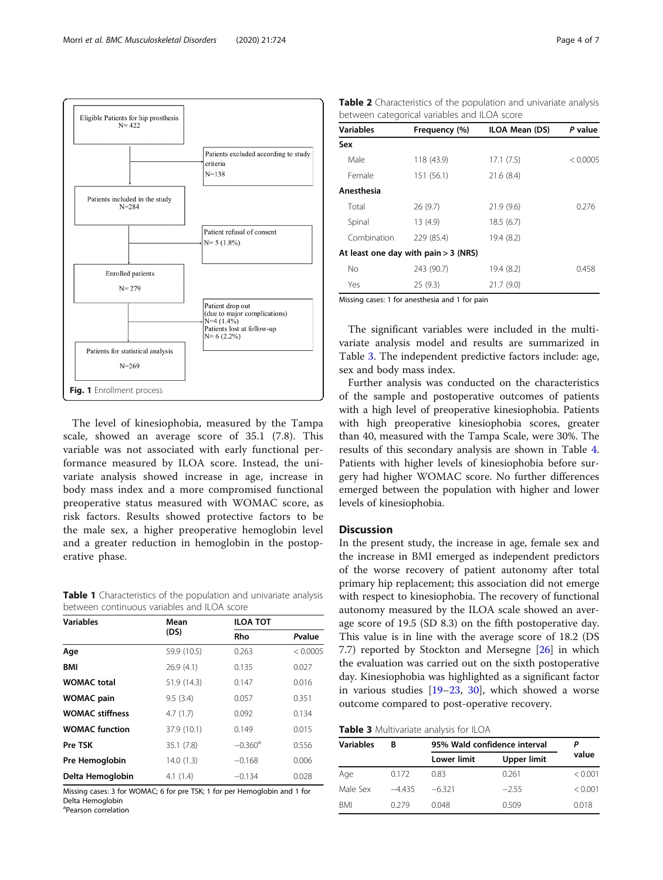<span id="page-3-0"></span>

The level of kinesiophobia, measured by the Tampa scale, showed an average score of 35.1 (7.8). This variable was not associated with early functional performance measured by ILOA score. Instead, the univariate analysis showed increase in age, increase in body mass index and a more compromised functional preoperative status measured with WOMAC score, as risk factors. Results showed protective factors to be the male sex, a higher preoperative hemoglobin level and a greater reduction in hemoglobin in the postoperative phase.

Table 1 Characteristics of the population and univariate analysis between continuous variables and ILOA score

| Variables              | Mean<br>(DS) | <b>ILOA TOT</b>       |          |
|------------------------|--------------|-----------------------|----------|
|                        |              | Rho                   | Pvalue   |
| Age                    | 59.9 (10.5)  | 0.263                 | < 0.0005 |
| <b>BMI</b>             | 26.9(4.1)    | 0.135                 | 0.027    |
| <b>WOMAC</b> total     | 51.9 (14.3)  | 0.147                 | 0.016    |
| <b>WOMAC</b> pain      | 9.5(3.4)     | 0.057                 | 0.351    |
| <b>WOMAC</b> stiffness | 4.7(1.7)     | 0.092                 | 0.134    |
| <b>WOMAC</b> function  | 37.9 (10.1)  | 0.149                 | 0.015    |
| Pre TSK                | 35.1 (7.8)   | $-0.360$ <sup>a</sup> | 0.556    |
| Pre Hemoglobin         | 14.0(1.3)    | $-0.168$              | 0.006    |
| Delta Hemoglobin       | 4.1(1.4)     | $-0.134$              | 0.028    |

Missing cases: 3 for WOMAC; 6 for pre TSK; 1 for per Hemoglobin and 1 for Delta Hemoglobin

a Pearson correlation

Table 2 Characteristics of the population and univariate analysis between categorical variables and ILOA score

| Frequency (%)<br>118 (43.9)<br>17.1(7.5)<br>151 (56.1)<br>21.6 (8.4) |                                                                                                              |
|----------------------------------------------------------------------|--------------------------------------------------------------------------------------------------------------|
|                                                                      | < 0.0005                                                                                                     |
|                                                                      |                                                                                                              |
|                                                                      |                                                                                                              |
|                                                                      |                                                                                                              |
|                                                                      | 0.276                                                                                                        |
|                                                                      |                                                                                                              |
|                                                                      |                                                                                                              |
| At least one day with $pain > 3$ (NRS)                               |                                                                                                              |
|                                                                      | 0.458                                                                                                        |
|                                                                      |                                                                                                              |
|                                                                      | 21.9(9.6)<br>18.5(6.7)<br>19.4 (8.2)<br>19.4 (8.2)<br>21.7(9.0)<br>$\cdots$ . $\cdots$ . $\cdots$ . $\cdots$ |

Missing cases: 1 for anesthesia and 1 for pain

The significant variables were included in the multivariate analysis model and results are summarized in Table 3. The independent predictive factors include: age, sex and body mass index.

Further analysis was conducted on the characteristics of the sample and postoperative outcomes of patients with a high level of preoperative kinesiophobia. Patients with high preoperative kinesiophobia scores, greater than 40, measured with the Tampa Scale, were 30%. The results of this secondary analysis are shown in Table [4](#page-4-0). Patients with higher levels of kinesiophobia before surgery had higher WOMAC score. No further differences emerged between the population with higher and lower levels of kinesiophobia.

## **Discussion**

In the present study, the increase in age, female sex and the increase in BMI emerged as independent predictors of the worse recovery of patient autonomy after total primary hip replacement; this association did not emerge with respect to kinesiophobia. The recovery of functional autonomy measured by the ILOA scale showed an average score of 19.5 (SD 8.3) on the fifth postoperative day. This value is in line with the average score of 18.2 (DS 7.7) reported by Stockton and Mersegne [[26](#page-6-0)] in which the evaluation was carried out on the sixth postoperative day. Kinesiophobia was highlighted as a significant factor in various studies  $[19-23, 30]$  $[19-23, 30]$  $[19-23, 30]$  $[19-23, 30]$  $[19-23, 30]$  $[19-23, 30]$ , which showed a worse outcome compared to post-operative recovery.

Table 3 Multivariate analysis for ILOA

| <b>Variables</b> | в       | 95% Wald confidence interval |             |              |
|------------------|---------|------------------------------|-------------|--------------|
|                  |         | <b>Lower limit</b>           | Upper limit | value        |
| Age              | 0.172   | 0.83                         | 0.261       | < 0.001      |
| Male Sex         | $-4435$ | $-6.321$                     | $-255$      | ${}_{0.001}$ |
| <b>BMI</b>       | በ 279   | 0.048                        | 0.509       | 0.018        |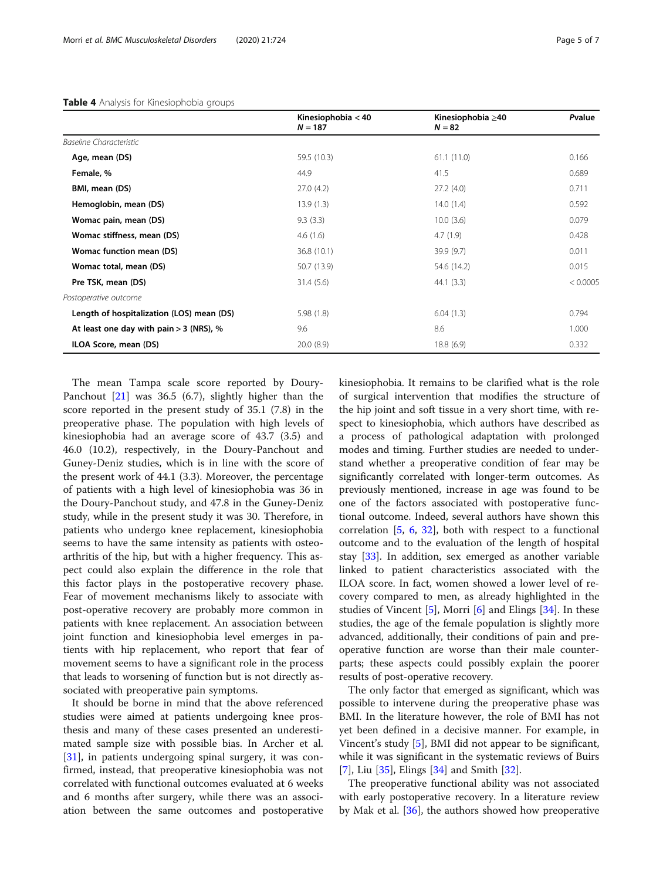<span id="page-4-0"></span>

|                                           | Kinesiophobia < 40<br>$N = 187$ | Kinesiophobia ≥40<br>$N = 82$ | Pvalue   |
|-------------------------------------------|---------------------------------|-------------------------------|----------|
| Baseline Characteristic                   |                                 |                               |          |
| Age, mean (DS)                            | 59.5 (10.3)                     | 61.1(11.0)                    | 0.166    |
| Female, %                                 | 44.9                            | 41.5                          | 0.689    |
| BMI, mean (DS)                            | 27.0(4.2)                       | 27.2(4.0)                     | 0.711    |
| Hemoglobin, mean (DS)                     | 13.9(1.3)                       | 14.0(1.4)                     | 0.592    |
| Womac pain, mean (DS)                     | 9.3(3.3)                        | 10.0(3.6)                     | 0.079    |
| Womac stiffness, mean (DS)                | 4.6(1.6)                        | 4.7(1.9)                      | 0.428    |
| Womac function mean (DS)                  | 36.8(10.1)                      | 39.9 (9.7)                    | 0.011    |
| Womac total, mean (DS)                    | 50.7 (13.9)                     | 54.6 (14.2)                   | 0.015    |
| Pre TSK, mean (DS)                        | 31.4(5.6)                       | 44.1(3.3)                     | < 0.0005 |
| Postoperative outcome                     |                                 |                               |          |
| Length of hospitalization (LOS) mean (DS) | 5.98(1.8)                       | 6.04(1.3)                     | 0.794    |
| At least one day with pain $>$ 3 (NRS), % | 9.6                             | 8.6                           | 1.000    |
| ILOA Score, mean (DS)                     | 20.0(8.9)                       | 18.8 (6.9)                    | 0.332    |

The mean Tampa scale score reported by Doury-Panchout [[21](#page-6-0)] was 36.5 (6.7), slightly higher than the score reported in the present study of 35.1 (7.8) in the preoperative phase. The population with high levels of kinesiophobia had an average score of 43.7 (3.5) and 46.0 (10.2), respectively, in the Doury-Panchout and Guney-Deniz studies, which is in line with the score of the present work of 44.1 (3.3). Moreover, the percentage of patients with a high level of kinesiophobia was 36 in the Doury-Panchout study, and 47.8 in the Guney-Deniz study, while in the present study it was 30. Therefore, in patients who undergo knee replacement, kinesiophobia seems to have the same intensity as patients with osteoarthritis of the hip, but with a higher frequency. This aspect could also explain the difference in the role that this factor plays in the postoperative recovery phase. Fear of movement mechanisms likely to associate with post-operative recovery are probably more common in patients with knee replacement. An association between joint function and kinesiophobia level emerges in patients with hip replacement, who report that fear of movement seems to have a significant role in the process that leads to worsening of function but is not directly associated with preoperative pain symptoms.

It should be borne in mind that the above referenced studies were aimed at patients undergoing knee prosthesis and many of these cases presented an underestimated sample size with possible bias. In Archer et al. [[31\]](#page-6-0), in patients undergoing spinal surgery, it was confirmed, instead, that preoperative kinesiophobia was not correlated with functional outcomes evaluated at 6 weeks and 6 months after surgery, while there was an association between the same outcomes and postoperative

kinesiophobia. It remains to be clarified what is the role of surgical intervention that modifies the structure of the hip joint and soft tissue in a very short time, with respect to kinesiophobia, which authors have described as a process of pathological adaptation with prolonged modes and timing. Further studies are needed to understand whether a preoperative condition of fear may be significantly correlated with longer-term outcomes. As previously mentioned, increase in age was found to be one of the factors associated with postoperative functional outcome. Indeed, several authors have shown this correlation  $[5, 6, 32]$  $[5, 6, 32]$  $[5, 6, 32]$  $[5, 6, 32]$  $[5, 6, 32]$  $[5, 6, 32]$ , both with respect to a functional outcome and to the evaluation of the length of hospital stay [\[33\]](#page-6-0). In addition, sex emerged as another variable linked to patient characteristics associated with the ILOA score. In fact, women showed a lower level of recovery compared to men, as already highlighted in the studies of Vincent [[5\]](#page-5-0), Morri [\[6](#page-5-0)] and Elings [[34\]](#page-6-0). In these studies, the age of the female population is slightly more advanced, additionally, their conditions of pain and preoperative function are worse than their male counterparts; these aspects could possibly explain the poorer results of post-operative recovery.

The only factor that emerged as significant, which was possible to intervene during the preoperative phase was BMI. In the literature however, the role of BMI has not yet been defined in a decisive manner. For example, in Vincent's study [[5](#page-5-0)], BMI did not appear to be significant, while it was significant in the systematic reviews of Buirs [[7\]](#page-5-0), Liu [[35](#page-6-0)], Elings [\[34](#page-6-0)] and Smith [[32](#page-6-0)].

The preoperative functional ability was not associated with early postoperative recovery. In a literature review by Mak et al. [\[36](#page-6-0)], the authors showed how preoperative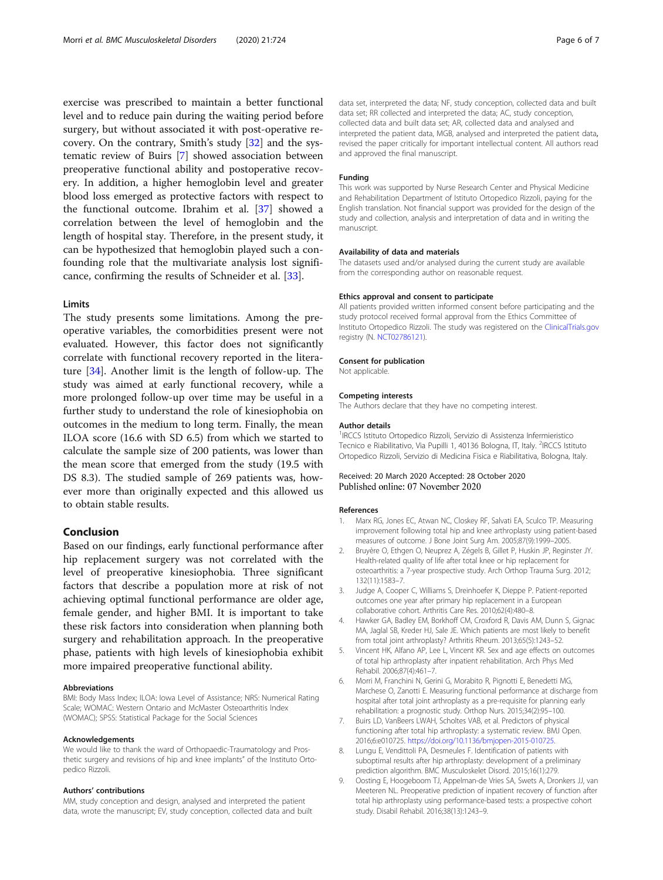<span id="page-5-0"></span>exercise was prescribed to maintain a better functional level and to reduce pain during the waiting period before surgery, but without associated it with post-operative recovery. On the contrary, Smith's study [[32](#page-6-0)] and the systematic review of Buirs [7] showed association between preoperative functional ability and postoperative recovery. In addition, a higher hemoglobin level and greater blood loss emerged as protective factors with respect to the functional outcome. Ibrahim et al. [\[37\]](#page-6-0) showed a correlation between the level of hemoglobin and the length of hospital stay. Therefore, in the present study, it can be hypothesized that hemoglobin played such a confounding role that the multivariate analysis lost significance, confirming the results of Schneider et al. [\[33\]](#page-6-0).

## Limits

The study presents some limitations. Among the preoperative variables, the comorbidities present were not evaluated. However, this factor does not significantly correlate with functional recovery reported in the literature [\[34](#page-6-0)]. Another limit is the length of follow-up. The study was aimed at early functional recovery, while a more prolonged follow-up over time may be useful in a further study to understand the role of kinesiophobia on outcomes in the medium to long term. Finally, the mean ILOA score (16.6 with SD 6.5) from which we started to calculate the sample size of 200 patients, was lower than the mean score that emerged from the study (19.5 with DS 8.3). The studied sample of 269 patients was, however more than originally expected and this allowed us to obtain stable results.

## Conclusion

Based on our findings, early functional performance after hip replacement surgery was not correlated with the level of preoperative kinesiophobia. Three significant factors that describe a population more at risk of not achieving optimal functional performance are older age, female gender, and higher BMI. It is important to take these risk factors into consideration when planning both surgery and rehabilitation approach. In the preoperative phase, patients with high levels of kinesiophobia exhibit more impaired preoperative functional ability.

#### Abbreviations

BMI: Body Mass Index; ILOA: Iowa Level of Assistance; NRS: Numerical Rating Scale; WOMAC: Western Ontario and McMaster Osteoarthritis Index (WOMAC); SPSS: Statistical Package for the Social Sciences

#### Acknowledgements

We would like to thank the ward of Orthopaedic-Traumatology and Prosthetic surgery and revisions of hip and knee implants" of the Instituto Ortopedico Rizzoli.

#### Authors' contributions

MM, study conception and design, analysed and interpreted the patient data, wrote the manuscript; EV, study conception, collected data and built data set, interpreted the data; NF, study conception, collected data and built data set; RR collected and interpreted the data; AC, study conception, collected data and built data set; AR, collected data and analysed and interpreted the patient data, MGB, analysed and interpreted the patient data, revised the paper critically for important intellectual content. All authors read and approved the final manuscript.

#### Funding

This work was supported by Nurse Research Center and Physical Medicine and Rehabilitation Department of Istituto Ortopedico Rizzoli, paying for the English translation. Not financial support was provided for the design of the study and collection, analysis and interpretation of data and in writing the manuscript.

#### Availability of data and materials

The datasets used and/or analysed during the current study are available from the corresponding author on reasonable request.

#### Ethics approval and consent to participate

All patients provided written informed consent before participating and the study protocol received formal approval from the Ethics Committee of Instituto Ortopedico Rizzoli. The study was registered on the [ClinicalTrials.gov](http://clinicaltrials.gov) registry (N. [NCT02786121](https://clinicaltrials.gov/ct2/show/NCT02786121)).

#### Consent for publication

Not applicable.

#### Competing interests

The Authors declare that they have no competing interest.

#### Author details

<sup>1</sup>IRCCS Istituto Ortopedico Rizzoli, Servizio di Assistenza Infermieristico Tecnico e Riabilitativo, Via Pupilli 1, 40136 Bologna, IT, Italy. <sup>2</sup>IRCCS Istituto Ortopedico Rizzoli, Servizio di Medicina Fisica e Riabilitativa, Bologna, Italy.

#### Received: 20 March 2020 Accepted: 28 October 2020 Published online: 07 November 2020

#### References

- 1. Marx RG, Jones EC, Atwan NC, Closkey RF, Salvati EA, Sculco TP. Measuring improvement following total hip and knee arthroplasty using patient-based measures of outcome. J Bone Joint Surg Am. 2005;87(9):1999–2005.
- 2. Bruyère O, Ethgen O, Neuprez A, Zégels B, Gillet P, Huskin JP, Reginster JY. Health-related quality of life after total knee or hip replacement for osteoarthritis: a 7-year prospective study. Arch Orthop Trauma Surg. 2012; 132(11):1583–7.
- 3. Judge A, Cooper C, Williams S, Dreinhoefer K, Dieppe P. Patient-reported outcomes one year after primary hip replacement in a European collaborative cohort. Arthritis Care Res. 2010;62(4):480–8.
- 4. Hawker GA, Badley EM, Borkhoff CM, Croxford R, Davis AM, Dunn S, Gignac MA, Jaglal SB, Kreder HJ, Sale JE. Which patients are most likely to benefit from total joint arthroplasty? Arthritis Rheum. 2013;65(5):1243–52.
- Vincent HK, Alfano AP, Lee L, Vincent KR. Sex and age effects on outcomes of total hip arthroplasty after inpatient rehabilitation. Arch Phys Med Rehabil. 2006;87(4):461–7.
- 6. Morri M, Franchini N, Gerini G, Morabito R, Pignotti E, Benedetti MG, Marchese O, Zanotti E. Measuring functional performance at discharge from hospital after total joint arthroplasty as a pre-requisite for planning early rehabilitation: a prognostic study. Orthop Nurs. 2015;34(2):95–100.
- Buirs LD, VanBeers LWAH, Scholtes VAB, et al. Predictors of physical functioning after total hip arthroplasty: a systematic review. BMJ Open. 2016;6:e010725. [https://doi.org/10.1136/bmjopen-2015-010725.](https://doi.org/10.1136/bmjopen-2015-010725)
- 8. Lungu E, Vendittoli PA, Desmeules F. Identification of patients with suboptimal results after hip arthroplasty: development of a preliminary prediction algorithm. BMC Musculoskelet Disord. 2015;16(1):279.
- 9. Oosting E, Hoogeboom TJ, Appelman-de Vries SA, Swets A, Dronkers JJ, van Meeteren NL. Preoperative prediction of inpatient recovery of function after total hip arthroplasty using performance-based tests: a prospective cohort study. Disabil Rehabil. 2016;38(13):1243–9.